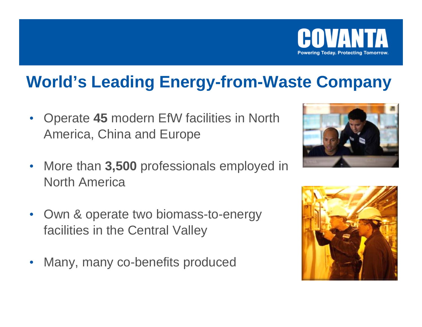

## **World's Leading Energy-from-Waste Company**

- $\bullet$  Operate **45** modern EfW facilities in North America, China and Europe
- $\bullet$  More than **3,500** professionals employed in North America
- $\bullet$  Own & operate two biomass-to-energy facilities in the Central Valley
- $\bullet$ Many, many co-benefits produced



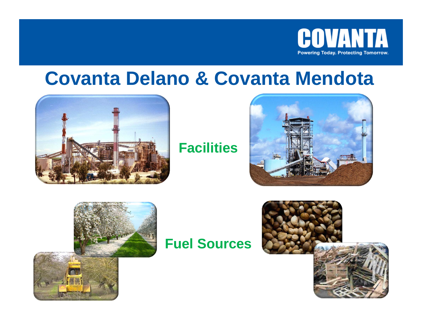

## **Covanta Delano & Covanta Mendota**



### **Facilities**





#### **Fuel Sources**

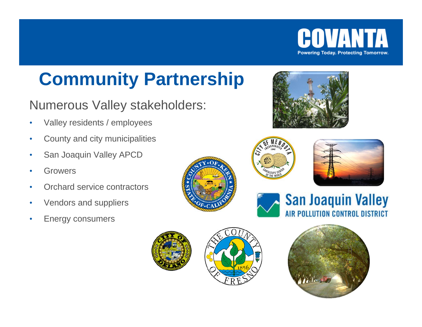

## **Community Partnership**

#### Numerous Valley stakeholders:

- •Valley residents / employees
- •County and city municipalities
- •San Joaquin Valley APCD
- •Growers
- •Orchard service contractors
- •Vendors and suppliers
- •Energy consumers











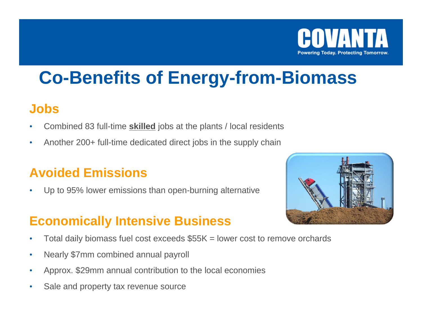

## **Co-Benefits of Energy-from-Biomass**

#### **Jobs**

- •Combined 83 full-time **skilled** jobs at the plants / local residents
- •Another 200+ full-time dedicated direct jobs in the supply chain

### **Avoided Emissions**

•Up to 95% lower emissions than open-burning alternative

#### **Economically Intensive Business**

- •Total daily biomass fuel cost exceeds  $$55K = lower cost to remove orchards$
- •Nearly \$7mm combined annual payroll
- •Approx. \$29mm annual contribution to the local economies
- •Sale and property tax revenue source